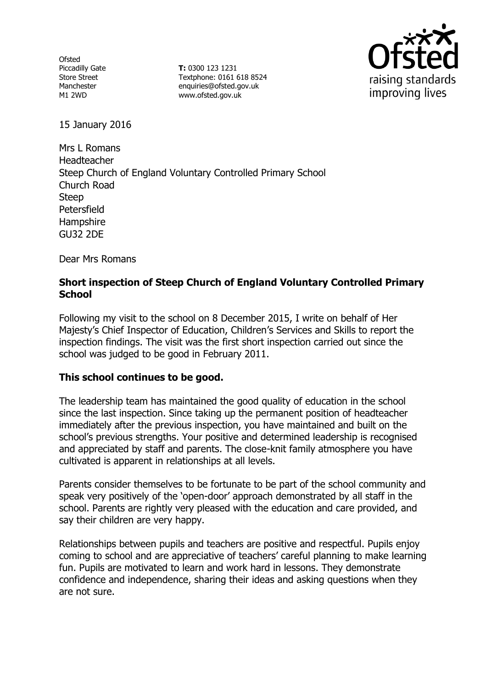**Ofsted** Piccadilly Gate Store Street Manchester M1 2WD

**T:** 0300 123 1231 Textphone: 0161 618 8524 enquiries@ofsted.gov.uk www.ofsted.gov.uk



15 January 2016

Mrs L Romans Headteacher Steep Church of England Voluntary Controlled Primary School Church Road Steep Petersfield Hampshire GU32 2DE

Dear Mrs Romans

# **Short inspection of Steep Church of England Voluntary Controlled Primary School**

Following my visit to the school on 8 December 2015, I write on behalf of Her Majesty's Chief Inspector of Education, Children's Services and Skills to report the inspection findings. The visit was the first short inspection carried out since the school was judged to be good in February 2011.

## **This school continues to be good.**

The leadership team has maintained the good quality of education in the school since the last inspection. Since taking up the permanent position of headteacher immediately after the previous inspection, you have maintained and built on the school's previous strengths. Your positive and determined leadership is recognised and appreciated by staff and parents. The close-knit family atmosphere you have cultivated is apparent in relationships at all levels.

Parents consider themselves to be fortunate to be part of the school community and speak very positively of the 'open-door' approach demonstrated by all staff in the school. Parents are rightly very pleased with the education and care provided, and say their children are very happy.

Relationships between pupils and teachers are positive and respectful. Pupils enjoy coming to school and are appreciative of teachers' careful planning to make learning fun. Pupils are motivated to learn and work hard in lessons. They demonstrate confidence and independence, sharing their ideas and asking questions when they are not sure.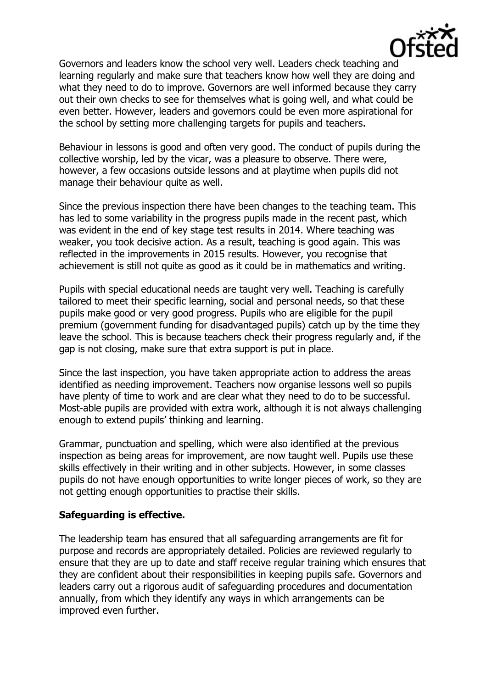

Governors and leaders know the school very well. Leaders check teaching and learning regularly and make sure that teachers know how well they are doing and what they need to do to improve. Governors are well informed because they carry out their own checks to see for themselves what is going well, and what could be even better. However, leaders and governors could be even more aspirational for the school by setting more challenging targets for pupils and teachers.

Behaviour in lessons is good and often very good. The conduct of pupils during the collective worship, led by the vicar, was a pleasure to observe. There were, however, a few occasions outside lessons and at playtime when pupils did not manage their behaviour quite as well.

Since the previous inspection there have been changes to the teaching team. This has led to some variability in the progress pupils made in the recent past, which was evident in the end of key stage test results in 2014. Where teaching was weaker, you took decisive action. As a result, teaching is good again. This was reflected in the improvements in 2015 results. However, you recognise that achievement is still not quite as good as it could be in mathematics and writing.

Pupils with special educational needs are taught very well. Teaching is carefully tailored to meet their specific learning, social and personal needs, so that these pupils make good or very good progress. Pupils who are eligible for the pupil premium (government funding for disadvantaged pupils) catch up by the time they leave the school. This is because teachers check their progress regularly and, if the gap is not closing, make sure that extra support is put in place.

Since the last inspection, you have taken appropriate action to address the areas identified as needing improvement. Teachers now organise lessons well so pupils have plenty of time to work and are clear what they need to do to be successful. Most-able pupils are provided with extra work, although it is not always challenging enough to extend pupils' thinking and learning.

Grammar, punctuation and spelling, which were also identified at the previous inspection as being areas for improvement, are now taught well. Pupils use these skills effectively in their writing and in other subjects. However, in some classes pupils do not have enough opportunities to write longer pieces of work, so they are not getting enough opportunities to practise their skills.

## **Safeguarding is effective.**

The leadership team has ensured that all safeguarding arrangements are fit for purpose and records are appropriately detailed. Policies are reviewed regularly to ensure that they are up to date and staff receive regular training which ensures that they are confident about their responsibilities in keeping pupils safe. Governors and leaders carry out a rigorous audit of safeguarding procedures and documentation annually, from which they identify any ways in which arrangements can be improved even further.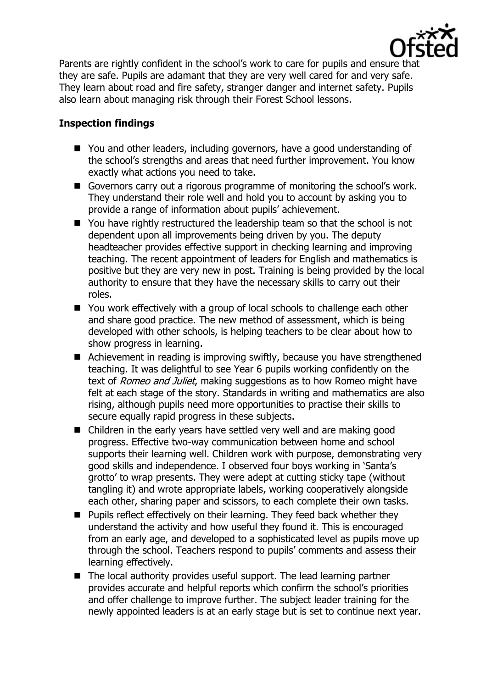

Parents are rightly confident in the school's work to care for pupils and ensure that they are safe. Pupils are adamant that they are very well cared for and very safe. They learn about road and fire safety, stranger danger and internet safety. Pupils also learn about managing risk through their Forest School lessons.

# **Inspection findings**

- You and other leaders, including governors, have a good understanding of the school's strengths and areas that need further improvement. You know exactly what actions you need to take.
- Governors carry out a rigorous programme of monitoring the school's work. They understand their role well and hold you to account by asking you to provide a range of information about pupils' achievement.
- You have rightly restructured the leadership team so that the school is not dependent upon all improvements being driven by you. The deputy headteacher provides effective support in checking learning and improving teaching. The recent appointment of leaders for English and mathematics is positive but they are very new in post. Training is being provided by the local authority to ensure that they have the necessary skills to carry out their roles.
- You work effectively with a group of local schools to challenge each other and share good practice. The new method of assessment, which is being developed with other schools, is helping teachers to be clear about how to show progress in learning.
- Achievement in reading is improving swiftly, because you have strengthened teaching. It was delightful to see Year 6 pupils working confidently on the text of Romeo and Juliet, making suggestions as to how Romeo might have felt at each stage of the story. Standards in writing and mathematics are also rising, although pupils need more opportunities to practise their skills to secure equally rapid progress in these subjects.
- Children in the early years have settled very well and are making good progress. Effective two-way communication between home and school supports their learning well. Children work with purpose, demonstrating very good skills and independence. I observed four boys working in 'Santa's grotto' to wrap presents. They were adept at cutting sticky tape (without tangling it) and wrote appropriate labels, working cooperatively alongside each other, sharing paper and scissors, to each complete their own tasks.
- **Pupils reflect effectively on their learning. They feed back whether they** understand the activity and how useful they found it. This is encouraged from an early age, and developed to a sophisticated level as pupils move up through the school. Teachers respond to pupils' comments and assess their learning effectively.
- The local authority provides useful support. The lead learning partner provides accurate and helpful reports which confirm the school's priorities and offer challenge to improve further. The subject leader training for the newly appointed leaders is at an early stage but is set to continue next year.